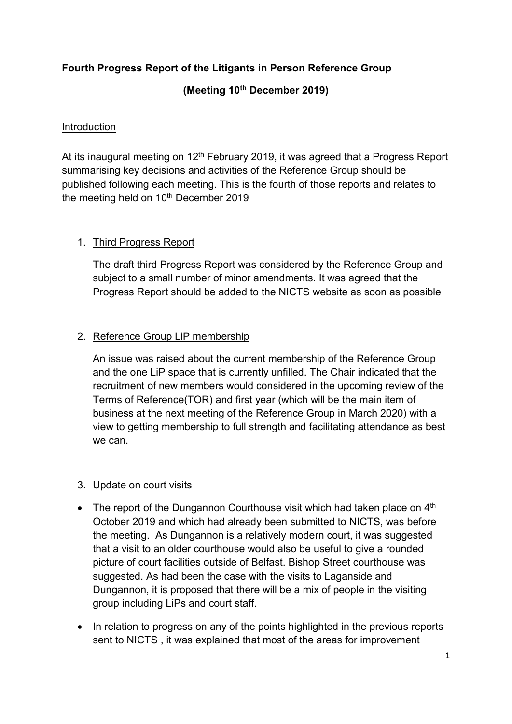# Fourth Progress Report of the Litigants in Person Reference Group

## (Meeting 10th December 2019)

### Introduction

At its inaugural meeting on  $12<sup>th</sup>$  February 2019, it was agreed that a Progress Report summarising key decisions and activities of the Reference Group should be published following each meeting. This is the fourth of those reports and relates to the meeting held on  $10<sup>th</sup>$  December 2019

### 1. Third Progress Report

The draft third Progress Report was considered by the Reference Group and subject to a small number of minor amendments. It was agreed that the Progress Report should be added to the NICTS website as soon as possible

### 2. Reference Group LiP membership

An issue was raised about the current membership of the Reference Group and the one LiP space that is currently unfilled. The Chair indicated that the recruitment of new members would considered in the upcoming review of the Terms of Reference(TOR) and first year (which will be the main item of business at the next meeting of the Reference Group in March 2020) with a view to getting membership to full strength and facilitating attendance as best we can.

#### 3. Update on court visits

- The report of the Dungannon Courthouse visit which had taken place on  $4<sup>th</sup>$ October 2019 and which had already been submitted to NICTS, was before the meeting. As Dungannon is a relatively modern court, it was suggested that a visit to an older courthouse would also be useful to give a rounded picture of court facilities outside of Belfast. Bishop Street courthouse was suggested. As had been the case with the visits to Laganside and Dungannon, it is proposed that there will be a mix of people in the visiting group including LiPs and court staff.
- In relation to progress on any of the points highlighted in the previous reports sent to NICTS , it was explained that most of the areas for improvement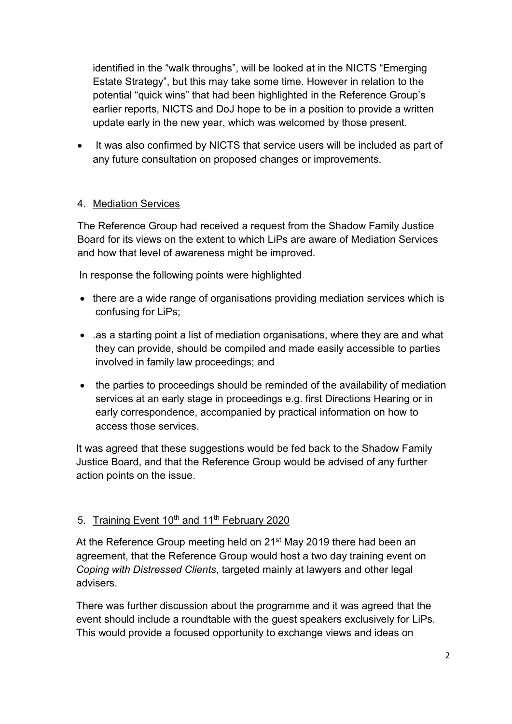identified in the "walk throughs", will be looked at in the NICTS "Emerging Estate Strategy", but this may take some time. However in relation to the potential "quick wins" that had been highlighted in the Reference Group's earlier reports, NICTS and DoJ hope to be in a position to provide a written update early in the new year, which was welcomed by those present.

• It was also confirmed by NICTS that service users will be included as part of any future consultation on proposed changes or improvements.

### 4. Mediation Services

The Reference Group had received a request from the Shadow Family Justice Board for its views on the extent to which LiPs are aware of Mediation Services and how that level of awareness might be improved.

In response the following points were highlighted

- there are a wide range of organisations providing mediation services which is confusing for LiPs;
- .as a starting point a list of mediation organisations, where they are and what they can provide, should be compiled and made easily accessible to parties involved in family law proceedings; and
- the parties to proceedings should be reminded of the availability of mediation services at an early stage in proceedings e.g. first Directions Hearing or in early correspondence, accompanied by practical information on how to access those services.

It was agreed that these suggestions would be fed back to the Shadow Family Justice Board, and that the Reference Group would be advised of any further action points on the issue.

### 5. Training Event 10<sup>th</sup> and 11<sup>th</sup> February 2020

At the Reference Group meeting held on 21<sup>st</sup> May 2019 there had been an agreement, that the Reference Group would host a two day training event on Coping with Distressed Clients, targeted mainly at lawyers and other legal advisers.

There was further discussion about the programme and it was agreed that the event should include a roundtable with the guest speakers exclusively for LiPs. This would provide a focused opportunity to exchange views and ideas on